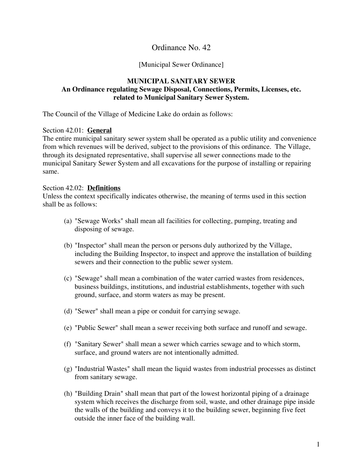## Ordinance No. 42

### [Municipal Sewer Ordinance]

### **MUNICIPAL SANITARY SEWER An Ordinance regulating Sewage Disposal, Connections, Permits, Licenses, etc. related to Municipal Sanitary Sewer System.**

The Council of the Village of Medicine Lake do ordain as follows:

### Section 42.01: **General**

The entire municipal sanitary sewer system shall be operated as a public utility and convenience from which revenues will be derived, subject to the provisions of this ordinance. The Village, through its designated representative, shall supervise all sewer connections made to the municipal Sanitary Sewer System and all excavations for the purpose of installing or repairing same.

#### Section 42.02: **Definitions**

Unless the context specifically indicates otherwise, the meaning of terms used in this section shall be as follows:

- (a) "Sewage Works" shall mean all facilities for collecting, pumping, treating and disposing of sewage.
- (b) "Inspector" shall mean the person or persons duly authorized by the Village, including the Building Inspector, to inspect and approve the installation of building sewers and their connection to the public sewer system.
- (c) "Sewage" shall mean a combination of the water carried wastes from residences, business buildings, institutions, and industrial establishments, together with such ground, surface, and storm waters as may be present.
- (d) "Sewer" shall mean a pipe or conduit for carrying sewage.
- (e) "Public Sewer" shall mean a sewer receiving both surface and runoff and sewage.
- (f) "Sanitary Sewer" shall mean a sewer which carries sewage and to which storm, surface, and ground waters are not intentionally admitted.
- (g) "Industrial Wastes" shall mean the liquid wastes from industrial processes as distinct from sanitary sewage.
- (h) "Building Drain" shall mean that part of the lowest horizontal piping of a drainage system which receives the discharge from soil, waste, and other drainage pipe inside the walls of the building and conveys it to the building sewer, beginning five feet outside the inner face of the building wall.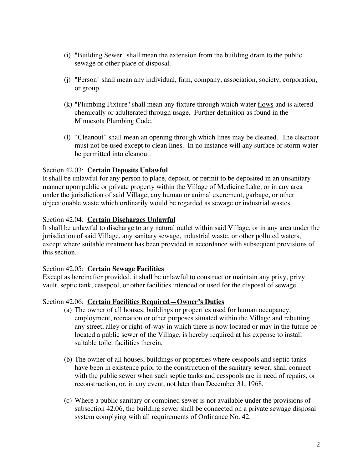- (i) "Building Sewer" shall mean the extension from the building drain to the public sewage or other place of disposal.
- (j) "Person" shall mean any individual, firm, company, association, society, corporation, or group.
- (k) "Plumbing Fixture'' shall mean any fixture through which water flows and is altered chemically or adulterated through usage. Further definition as found in the Minnesota Plumbing Code.
- (l) "Cleanout" shall mean an opening through which lines may be cleaned. The cleanout must not be used except to clean lines. In no instance will any surface or storm water be permitted into cleanout.

## Section 42.03: **Certain Deposits Unlawful**

It shall be unlawful for any person to place, deposit, or permit to be deposited in an unsanitary manner upon public or private property within the Village of Medicine Lake, or in any area under the jurisdiction of said Village, any human or animal excrement, garbage, or other objectionable waste which ordinarily would be regarded as sewage or industrial wastes.

### Section 42.04: **Certain Discharges Unlawful**

It shall be unlawful to discharge to any natural outlet within said Village, or in any area under the jurisdiction of said Village, any sanitary sewage, industrial waste, or other polluted waters, except where suitable treatment has been provided in accordance with subsequent provisions of this section.

### Section 42.05: **Certain Sewage Facilities**

Except as hereinafter provided, it shall be unlawful to construct or maintain any privy, privy vault, septic tank, cesspool, or other facilities intended or used for the disposal of sewage.

### Section 42.06: **Certain Facilities Required—Owner's Duties**

- (a) The owner of all houses, buildings or properties used for human occupancy, employment, recreation or other purposes situated within the Village and rebutting any street, alley or right-of-way in which there is now located or may in the future be located a public sewer of the Village, is hereby required at his expense to install suitable toilet facilities therein.
- (b) The owner of all houses, buildings or properties where cesspools and septic tanks have been in existence prior to the construction of the sanitary sewer, shall connect with the public sewer when such septic tanks and cesspools are in need of repairs, or reconstruction, or, in any event, not later than December 31, 1968.
- (c) Where a public sanitary or combined sewer is not available under the provisions of subsection 42.06, the building sewer shall be connected on a private sewage disposal system complying with all requirements of Ordinance No. 42.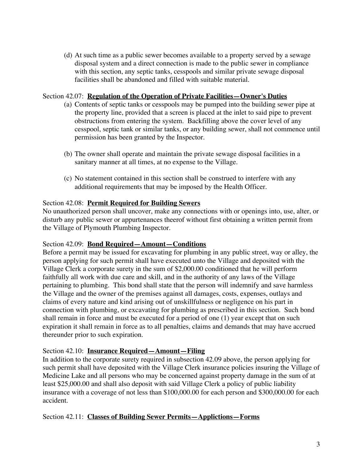(d) At such time as a public sewer becomes available to a property served by a sewage disposal system and a direct connection is made to the public sewer in compliance with this section, any septic tanks, cesspools and similar private sewage disposal facilities shall be abandoned and filled with suitable material.

## Section 42.07: **Regulation of the Operation of Private Facilities—Owner's Duties**

- (a) Contents of septic tanks or cesspools may be pumped into the building sewer pipe at the property line, provided that a screen is placed at the inlet to said pipe to prevent obstructions from entering the system. Backfilling above the cover level of any cesspool, septic tank or similar tanks, or any building sewer, shall not commence until permission has been granted by the Inspector.
- (b) The owner shall operate and maintain the private sewage disposal facilities in a sanitary manner at all times, at no expense to the Village.
- (c) No statement contained in this section shall be construed to interfere with any additional requirements that may be imposed by the Health Officer.

## Section 42.08: **Permit Required for Building Sewers**

No unauthorized person shall uncover, make any connections with or openings into, use, alter, or disturb any public sewer or appurtenances theerof without first obtaining a written permit from the Village of Plymouth Plumbing Inspector.

### Section 42.09: **Bond Required—Amount—Conditions**

Before a permit may be issued for excavating for plumbing in any public street, way or alley, the person applying for such permit shall have executed unto the Village and deposited with the Village Clerk a corporate surety in the sum of \$2,000.00 conditioned that he will perform faithfully all work with due care and skill, and in the authority of any laws of the Village pertaining to plumbing. This bond shall state that the person will indemnify and save harmless the Village and the owner of the premises against all damages, costs, expenses, outlays and claims of every nature and kind arising out of unskillfulness or negligence on his part in connection with plumbing, or excavating for plumbing as prescribed in this section. Such bond shall remain in force and must be executed for a period of one (1) year except that on such expiration it shall remain in force as to all penalties, claims and demands that may have accrued thereunder prior to such expiration.

## Section 42.10: **Insurance Required—Amount—Filing**

In addition to the corporate surety required in subsection 42.09 above, the person applying for such permit shall have deposited with the Village Clerk insurance policies insuring the Village of Medicine Lake and all persons who may be concerned against property damage in the sum of at least \$25,000.00 and shall also deposit with said Village Clerk a policy of public liability insurance with a coverage of not less than \$100,000.00 for each person and \$300,000.00 for each accident.

## Section 42.11: **Classes of Building Sewer Permits—Applictions—Forms**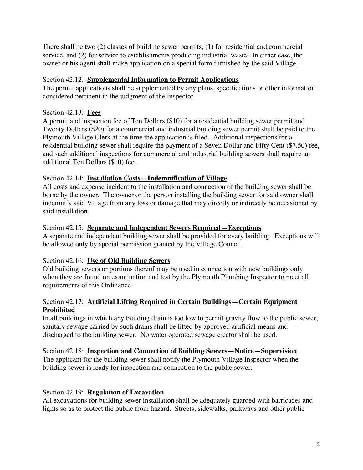There shall be two (2) classes of building sewer permits, (1) for residential and commercial service, and (2) for service to establishments producing industrial waste. In either case, the owner or his agent shall make application on a special form furnished by the said Village.

## Section 42.12: **Supplemental Information to Permit Applications**

The permit applications shall be supplemented by any plans, specifications or other information considered pertinent in the judgment of the Inspector.

## Section 42.13: **Fees**

A permit and inspection fee of Ten Dollars (\$10) for a residential building sewer permit and Twenty Dollars (\$20) for a commercial and industrial building sewer permit shall be paid to the Plymouth Village Clerk at the time the application is filed. Additional inspections for a residential building sewer shall require the payment of a Seven Dollar and Fifty Cent (\$7.50) fee, and such additional inspections for commercial and industrial building sewers shall require an additional Ten Dollars (\$10) fee.

## Section 42.14: **Installation Costs—Indemnification of Village**

All costs and expense incident to the installation and connection of the building sewer shall be borne by the owner. The owner or the person installing the building sewer for said owner shall indemnify said Village from any loss or damage that may directly or indirectly be occasioned by said installation.

## Section 42.15: **Separate and Independent Sewers Required—Exceptions**

A separate and independent building sewer shall be provided for every building. Exceptions will be allowed only by special permission granted by the Village Council.

# Section 42.16: **Use of Old Building Sewers**

Old building sewers or portions thereof may be used in connection with new buildings only when they are found on examination and test by the Plymouth Plumbing Inspector to meet all requirements of this Ordinance.

## Section 42.17: **Artificial Lifting Required in Certain Buildings—Certain Equipment Prohibited**

In all buildings in which any building drain is too low to permit gravity flow to the public sewer, sanitary sewage carried by such drains shall be lifted by approved artificial means and discharged to the building sewer. No water operated sewage ejector shall be used.

Section 42.18: **Inspection and Connection of Building Sewers—Notice—Supervision** The applicant for the building sewer shall notify the Plymouth Village Inspector when the building sewer is ready for inspection and connection to the public sewer.

# Section 42.19: **Regulation of Excavation**

All excavations for building sewer installation shall be adequately guarded with barricades and lights so as to protect the public from hazard. Streets, sidewalks, parkways and other public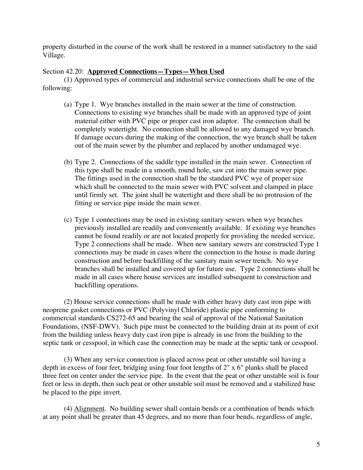property disturbed in the course of the work shall be restored in a manner satisfactory to the said Village.

## Section 42.20: **Approved Connections—Types—When Used**

(1) Approved types of commercial and industrial service connections shall be one of the following:

- (a) Type 1. Wye branches installed in the main sewer at the time of construction. Connections to existing wye branches shall be made with an approved type of joint material either with PVC pipe or proper cast iron adaptor. The connection shall be completely watertight. No connection shall be allowed to any damaged wye branch. If damage occurs during the making of the connection, the wye branch shall be taken out of the main sewer by the plumber and replaced by another undamaged wye.
- (b) Type 2. Connections of the saddle type installed in the main sewer. Connection of this type shall be made in a smooth, round hole, saw cut into the main sewer pipe. The fittings used in the connection shall be the standard PVC wye of proper size which shall be connected to the main sewer with PVC solvent and clamped in place until firmly set. The joint shall be watertight and there shall be no protrusion of the fitting or service pipe inside the main sewer.
- (c) Type 1 connections may be used in existing sanitary sewers when wye branches previously installed are readily and conveniently available. If existing wye branches cannot be found readily or are not located properly for providing the needed service, Type 2 connections shall be made. When new sanitary sewers are constructed Type 1 connections may be made in cases where the connection to the house is made during construction and before backfilling of the sanitary main sewer trench. No wye branches shall be installed and covered up for future use. Type 2 connections shall be made in all cases where house services are installed subsequent to construction and backfilling operations.

(2) House service connections shall be made with either heavy duty cast iron pipe with neoprene gasket connections or PVC (Polyvinyl Chloride) plastic pipe conforming to commercial standards CS272-65 and bearing the seal of approval of the National Sanitation Foundations, (NSF-DWV). Such pipe must be connected to the building drain at its point of exit from the building unless heavy duty cast iron pipe is already in use from the building to the septic tank or cesspool, in which case the connection may be made at the septic tank or cesspool.

(3) When any service connection is placed across peat or other unstable soil having a depth in excess of four feet, bridging using four foot lengths of 2" x 6" planks shall be placed three feet on center under the service pipe. In the event that the peat or other unstable soil is four feet or less in depth, then such peat or other unstable soil must be removed and a stabilized base be placed to the pipe invert.

(4) Alignment. No building sewer shall contain bends or a combination of bends which at any point shall be greater than 45 degrees, and no more than four bends, regardless of angle,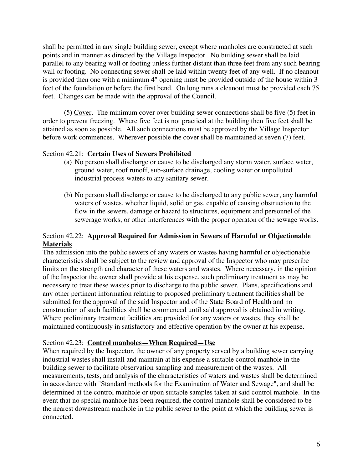shall be permitted in any single building sewer, except where manholes are constructed at such points and in manner as directed by the Village Inspector. No building sewer shall be laid parallel to any bearing wall or footing unless further distant than three feet from any such bearing wall or footing. No connecting sewer shall be laid within twenty feet of any well. If no cleanout is provided then one with a minimum 4" opening must be provided outside of the house within 3 feet of the foundation or before the first bend. On long runs a cleanout must be provided each 75 feet. Changes can be made with the approval of the Council.

(5) Cover. The minimum cover over building sewer connections shall be five (5) feet in order to prevent freezing. Where five feet is not practical at the building then five feet shall be attained as soon as possible. All such connections must be approved by the Village Inspector before work commences. Wherever possible the cover shall be maintained at seven (7) feet.

## Section 42.21: **Certain Uses of Sewers Prohibited**

- (a) No person shall discharge or cause to be discharged any storm water, surface water, ground water, roof runoff, sub-surface drainage, cooling water or unpolluted industrial process waters to any sanitary sewer.
- (b) No person shall discharge or cause to be discharged to any public sewer, any harmful waters of wastes, whether liquid, solid or gas, capable of causing obstruction to the flow in the sewers, damage or hazard to structures, equipment and personnel of the sewerage works, or other interferences with the proper operaton of the sewage works.

## Section 42.22: **Approval Required for Admission in Sewers of Harmful or Objectionable Materials**

The admission into the public sewers of any waters or wastes having harmful or objectionable characteristics shall be subject to the review and approval of the Inspector who may prescribe limits on the strength and character of these waters and wastes. Where necessary, in the opinion of the Inspector the owner shall provide at his expense, such preliminary treatment as may be necessary to treat these wastes prior to discharge to the public sewer. Plans, specifications and any other pertinent information relating to proposed preliminary treatment facilities shall be submitted for the approval of the said Inspector and of the State Board of Health and no construction of such facilities shall be commenced until said approval is obtained in writing. Where preliminary treatment facilities are provided for any waters or wastes, they shall be maintained continuously in satisfactory and effective operation by the owner at his expense.

### Section 42.23: **Control manholes—When Required—Use**

When required by the Inspector, the owner of any property served by a building sewer carrying industrial wastes shall install and maintain at his expense a suitable control manhole in the building sewer to facilitate observation sampling and measurement of the wastes. All measurements, tests, and analysis of the characteristics of waters and wastes shall be determined in accordance with "Standard methods for the Examination of Water and Sewage", and shall be determined at the control manhole or upon suitable samples taken at said control manhole. In the event that no special manhole has been required, the control manhole shall be considered to be the nearest downstream manhole in the public sewer to the point at which the building sewer is connected.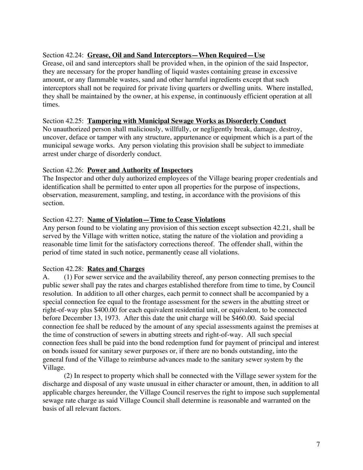## Section 42.24: **Grease, Oil and Sand Interceptors—When Required—Use**

Grease, oil and sand interceptors shall be provided when, in the opinion of the said Inspector, they are necessary for the proper handling of liquid wastes containing grease in excessive amount, or any flammable wastes, sand and other harmful ingredients except that such interceptors shall not be required for private living quarters or dwelling units. Where installed, they shall be maintained by the owner, at his expense, in continuously efficient operation at all times.

### Section 42.25: **Tampering with Municipal Sewage Works as Disorderly Conduct**

No unauthorized person shall maliciously, willfully, or negligently break, damage, destroy, uncover, deface or tamper with any structure, appurtenance or equipment which is a part of the municipal sewage works. Any person violating this provision shall be subject to immediate arrest under charge of disorderly conduct.

### Section 42.26: **Power and Authority of Inspectors**

The Inspector and other duly authorized employees of the Village bearing proper credentials and identification shall be permitted to enter upon all properties for the purpose of inspections, observation, measurement, sampling, and testing, in accordance with the provisions of this section.

### Section 42.27: **Name of Violation—Time to Cease Violations**

Any person found to be violating any provision of this section except subsection 42.21, shall be served by the Village with written notice, stating the nature of the violation and providing a reasonable time limit for the satisfactory corrections thereof. The offender shall, within the period of time stated in such notice, permanently cease all violations.

### Section 42.28: **Rates and Charges**

A. (1) For sewer service and the availability thereof, any person connecting premises to the public sewer shall pay the rates and charges established therefore from time to time, by Council resolution. In addition to all other charges, each permit to connect shall be accompanied by a special connection fee equal to the frontage assessment for the sewers in the abutting street or right-of-way plus \$400.00 for each equivalent residential unit, or equivalent, to be connected before December 13, 1973. After this date the unit charge will be \$460.00. Said special connection fee shall be reduced by the amount of any special assessments against the premises at the time of construction of sewers in abutting streets and right-of-way. All such special connection fees shall be paid into the bond redemption fund for payment of principal and interest on bonds issued for sanitary sewer purposes or, if there are no bonds outstanding, into the general fund of the Village to reimburse advances made to the sanitary sewer system by the Village.

(2) In respect to property which shall be connected with the Village sewer system for the discharge and disposal of any waste unusual in either character or amount, then, in addition to all applicable charges hereunder, the Village Council reserves the right to impose such supplemental sewage rate charge as said Village Council shall determine is reasonable and warranted on the basis of all relevant factors.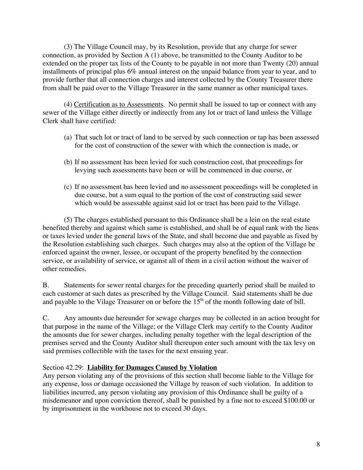(3) The Village Council may, by its Resolution, provide that any charge for sewer connection, as provided by Section A (1) above, be transmitted to the County Auditor to be extended on the proper tax lists of the County to be payable in not more than Twenty (20) annual installments of principal plus 6% annual interest on the unpaid balance from year to year, and to provide further that all connection charges and interest collected by the County Treasurer there from shall be paid over to the Village Treasurer in the same manner as other municipal taxes.

(4) Certification as to Assessments. No permit shall be issued to tap or connect with any sewer of the Village either directly or indirectly from any lot or tract of land unless the Village Clerk shall have certified:

- (a) That such lot or tract of land to be served by such connection or tap has been assessed for the cost of construction of the sewer with which the connection is made, or
- (b) If no assessment has been levied for such construction cost, that proceedings for levying such assessments have been or will be commenced in due course, or
- (c) If no assessment has been levied and no assessment proceedings will be completed in due course, but a sum equal to the portion of the cost of constructing said sewer which would be assessable against said lot or tract has been paid to the Village.

(5) The charges established pursuant to this Ordinance shall be a lein on the real estate benefited thereby and against which same is established, and shall be of equal rank with the liens or taxes levied under the general laws of the State, and shall become due and payable as fixed by the Resolution establishing such charges. Such charges may also at the option of the Village be enforced against the owner, lessee, or occupant of the property benefited by the connection service, or availability of service, or against all of them in a civil action without the waiver of other remedies.

B. Statements for sewer rental charges for the preceding quarterly period shall be mailed to each customer at such dates as prescribed by the Village Council. Said statements shall be due and payable to the Vilage Treasurer on or before the  $15<sup>th</sup>$  of the month following date of bill.

C. Any amounts due hereunder for sewage charges may be collected in an action brought for that purpose in the name of the Village; or the Village Clerk may certify to the County Auditor the amounts due for sewer charges, including penalty together with the legal description of the premises served and the County Auditor shall thereupon enter such amount with the tax levy on said premises collectible with the taxes for the next ensuing year.

## Section 42.29: **Liability for Damages Caused by Violation**

Any person violating any of the provisions of this section shall become liable to the Village for any expense, loss or damage occasioned the Village by reason of such violation. In addition to liabilities incurred, any person violating any provision of this Ordinance shall be guilty of a misdemeanor and upon conviction thereof, shall be punished by a fine not to exceed \$100.00 or by imprisonment in the workhouse not to exceed 30 days.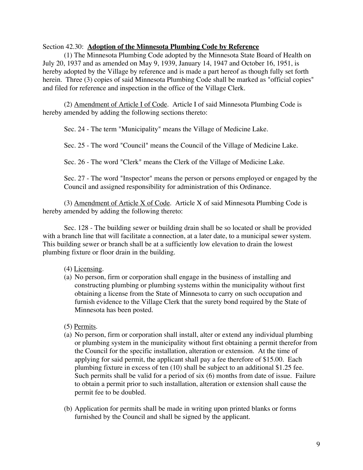#### Section 42.30: **Adoption of the Minnesota Plumbing Code by Reference**

(1) The Minnesota Plumbing Code adopted by the Minnesota State Board of Health on July 20, 1937 and as amended on May 9, 1939, January 14, 1947 and October 16, 1951, is hereby adopted by the Village by reference and is made a part hereof as though fully set forth herein. Three (3) copies of said Minnesota Plumbing Code shall be marked as "official copies" and filed for reference and inspection in the office of the Village Clerk.

(2) Amendment of Article I of Code. Article I of said Minnesota Plumbing Code is hereby amended by adding the following sections thereto:

Sec. 24 - The term "Municipality" means the Village of Medicine Lake.

Sec. 25 - The word "Council" means the Council of the Village of Medicine Lake.

Sec. 26 - The word "Clerk" means the Clerk of the Village of Medicine Lake.

Sec. 27 - The word "Inspector" means the person or persons employed or engaged by the Council and assigned responsibility for administration of this Ordinance.

(3) Amendment of Article X of Code. Article X of said Minnesota Plumbing Code is hereby amended by adding the following thereto:

Sec. 128 - The building sewer or building drain shall be so located or shall be provided with a branch line that will facilitate a connection, at a later date, to a municipal sewer system. This building sewer or branch shall be at a sufficiently low elevation to drain the lowest plumbing fixture or floor drain in the building.

### (4) Licensing.

- (a) No person, firm or corporation shall engage in the business of installing and constructing plumbing or plumbing systems within the municipality without first obtaining a license from the State of Minnesota to carry on such occupation and furnish evidence to the Village Clerk that the surety bond required by the State of Minnesota has been posted.
- (5) Permits.
- (a) No person, firm or corporation shall install, alter or extend any individual plumbing or plumbing system in the municipality without first obtaining a permit therefor from the Council for the specific installation, alteration or extension. At the time of applying for said permit, the applicant shall pay a fee therefore of \$15.00. Each plumbing fixture in excess of ten (10) shall be subject to an additional \$1.25 fee. Such permits shall be valid for a period of six (6) months from date of issue. Failure to obtain a permit prior to such installation, alteration or extension shall cause the permit fee to be doubled.
- (b) Application for permits shall be made in writing upon printed blanks or forms furnished by the Council and shall be signed by the applicant.